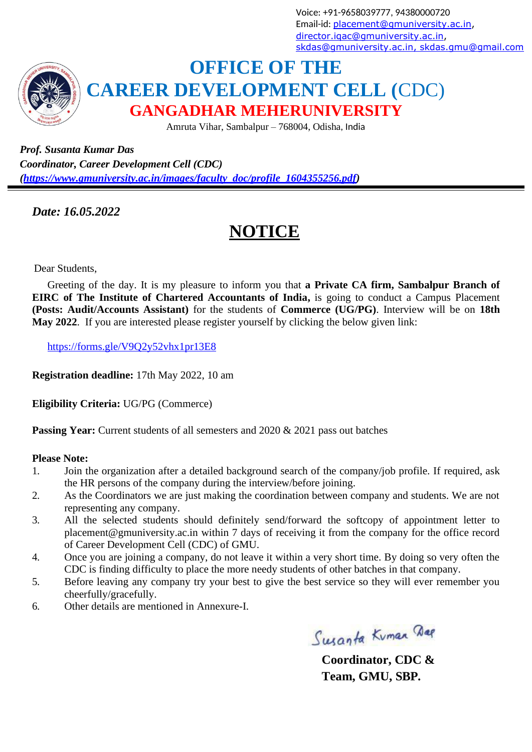Voice: +91-9658039777, 94380000720 Email-id: [placement@gmuniversity.ac.in,](mailto:placement@gmuniversity.ac.in) [director.iqac@gmuniversity.ac.in,](mailto:director.iqac@gmuniversity.ac.in) [skdas@gmuniversity.ac.in](mailto:skdas@gmuniversity.ac.in)[, skdas.gmu@gmail.com](mailto:%2Cskdas.gmu@gmail.com)



## **OFFICE OF THE CAREER DEVELOPMENT CELL (**CDC) **GANGADHAR MEHERUNIVERSITY**

Amruta Vihar, Sambalpur – 768004, Odisha, India

*Prof. Susanta Kumar Das Coordinator, Career Development Cell (CDC) [\(https://www.gmuniversity.ac.in/images/faculty\\_doc/profile\\_1604355256.pdf\)](https://www.gmuniversity.ac.in/images/faculty_doc/profile_1604355256.pdf)*

*Date: 16.05.2022*

## **NOTICE**

Dear Students,

Greeting of the day. It is my pleasure to inform you that **a Private CA firm, Sambalpur Branch of EIRC of The Institute of Chartered Accountants of India,** is going to conduct a Campus Placement **(Posts: Audit/Accounts Assistant)** for the students of **Commerce (UG/PG)**. Interview will be on **18th May 2022**. If you are interested please register yourself by clicking the below given link:

<https://forms.gle/V9Q2y52vhx1pr13E8>

**Registration deadline:** 17th May 2022, 10 am

**Eligibility Criteria:** UG/PG (Commerce)

**Passing Year:** Current students of all semesters and 2020 & 2021 pass out batches

## **Please Note:**

- 1. Join the organization after a detailed background search of the company/job profile. If required, ask the HR persons of the company during the interview/before joining.
- 2. As the Coordinators we are just making the coordination between company and students. We are not representing any company.
- 3. All the selected students should definitely send/forward the softcopy of appointment letter to [placement@gmuniversity.ac.in w](mailto:placement@gmuniversity.ac.in)ithin 7 days of receiving it from the company for the office record of Career Development Cell (CDC) of GMU.
- 4. Once you are joining a company, do not leave it within a very short time. By doing so very often the CDC is finding difficulty to place the more needy students of other batches in that company.
- 5. Before leaving any company try your best to give the best service so they will ever remember you cheerfully/gracefully.
- 6. Other details are mentioned in Annexure-I.

Susanta Kuman Dag

**Coordinator, CDC & Team, GMU, SBP.**